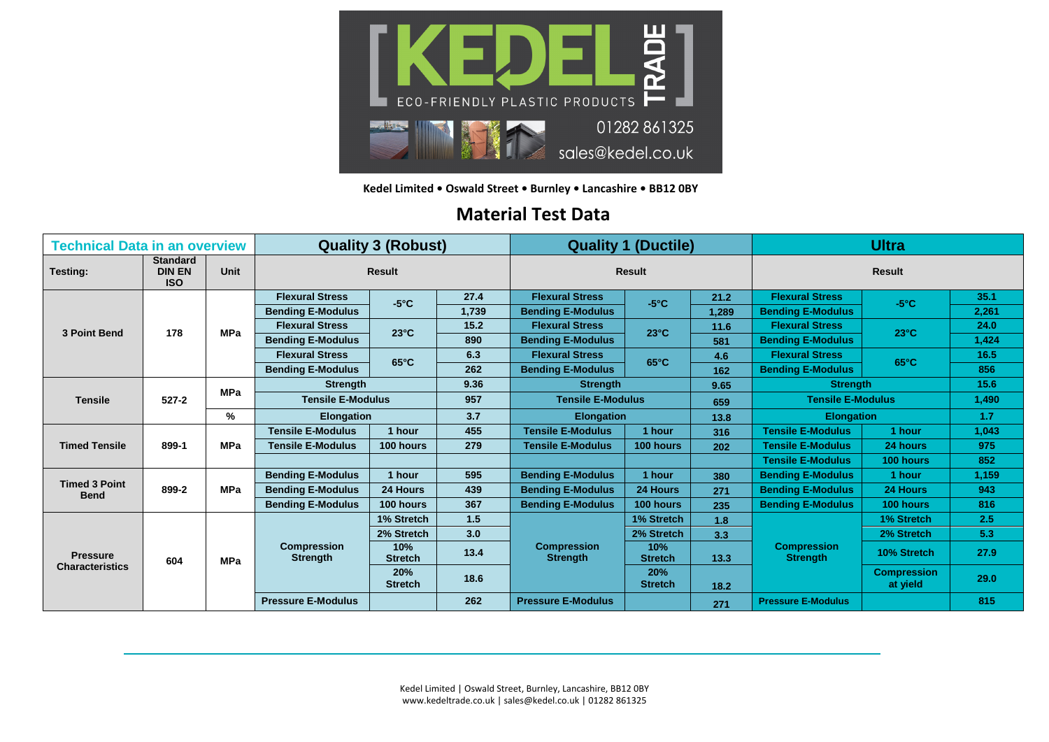

**Kedel Limited • Oswald Street • Burnley • Lancashire • BB12 0BY**

## **Material Test Data**

| <b>Technical Data in an overview</b>      |                                                |             | <b>Quality 3 (Robust)</b>             |                       |       | <b>Quality 1 (Ductile)</b>            |                       |       | <b>Ultra</b>                          |                                |       |
|-------------------------------------------|------------------------------------------------|-------------|---------------------------------------|-----------------------|-------|---------------------------------------|-----------------------|-------|---------------------------------------|--------------------------------|-------|
| <b>Testing:</b>                           | <b>Standard</b><br><b>DIN EN</b><br><b>ISO</b> | <b>Unit</b> | <b>Result</b>                         |                       |       | <b>Result</b>                         |                       |       | <b>Result</b>                         |                                |       |
| 3 Point Bend                              | 178                                            | <b>MPa</b>  | <b>Flexural Stress</b>                | $-5^{\circ}$ C        | 27.4  | <b>Flexural Stress</b>                | $-5^{\circ}$ C        | 21.2  | <b>Flexural Stress</b>                | $-5^{\circ}$ C                 | 35.1  |
|                                           |                                                |             | <b>Bending E-Modulus</b>              |                       | 1,739 | <b>Bending E-Modulus</b>              |                       | 1.289 | <b>Bending E-Modulus</b>              |                                | 2,261 |
|                                           |                                                |             | <b>Flexural Stress</b>                | $23^{\circ}$ C        | 15.2  | <b>Flexural Stress</b>                | $23^{\circ}$ C        | 11.6  | <b>Flexural Stress</b>                | $23^{\circ}$ C                 | 24.0  |
|                                           |                                                |             | <b>Bending E-Modulus</b>              |                       | 890   | <b>Bending E-Modulus</b>              |                       | 581   | <b>Bending E-Modulus</b>              |                                | 1,424 |
|                                           |                                                |             | <b>Flexural Stress</b>                | $65^{\circ}$ C        | 6.3   | <b>Flexural Stress</b>                | $65^{\circ}$ C        | 4.6   | <b>Flexural Stress</b>                | $65^{\circ}$ C                 | 16.5  |
|                                           |                                                |             | <b>Bending E-Modulus</b>              |                       | 262   | <b>Bending E-Modulus</b>              |                       | 162   | <b>Bending E-Modulus</b>              |                                | 856   |
| <b>Tensile</b>                            | $527 - 2$                                      | <b>MPa</b>  | <b>Strength</b>                       |                       | 9.36  | <b>Strength</b>                       |                       | 9.65  | <b>Strength</b>                       |                                | 15.6  |
|                                           |                                                |             | <b>Tensile E-Modulus</b>              |                       | 957   | <b>Tensile E-Modulus</b>              |                       | 659   | <b>Tensile E-Modulus</b>              |                                | 1,490 |
|                                           |                                                | %           | <b>Elongation</b>                     |                       | 3.7   | <b>Elongation</b>                     |                       | 13.8  | <b>Elongation</b>                     |                                | 1.7   |
| <b>Timed Tensile</b>                      | 899-1                                          | <b>MPa</b>  | <b>Tensile E-Modulus</b>              | 1 hour                | 455   | <b>Tensile E-Modulus</b>              | 1 hour                | 316   | <b>Tensile E-Modulus</b>              | 1 hour                         | 1,043 |
|                                           |                                                |             | <b>Tensile E-Modulus</b>              | 100 hours             | 279   | <b>Tensile E-Modulus</b>              | 100 hours             | 202   | <b>Tensile E-Modulus</b>              | 24 hours                       | 975   |
|                                           |                                                |             |                                       |                       |       |                                       |                       |       | <b>Tensile E-Modulus</b>              | 100 hours                      | 852   |
| <b>Timed 3 Point</b><br><b>Bend</b>       | 899-2                                          | <b>MPa</b>  | <b>Bending E-Modulus</b>              | 1 hour                | 595   | <b>Bending E-Modulus</b>              | 1 hour                | 380   | <b>Bending E-Modulus</b>              | 1 hour                         | 1,159 |
|                                           |                                                |             | <b>Bending E-Modulus</b>              | 24 Hours              | 439   | <b>Bending E-Modulus</b>              | 24 Hours              | 271   | <b>Bending E-Modulus</b>              | 24 Hours                       | 943   |
|                                           |                                                |             | <b>Bending E-Modulus</b>              | 100 hours             | 367   | <b>Bending E-Modulus</b>              | 100 hours             | 235   | <b>Bending E-Modulus</b>              | 100 hours                      | 816   |
| <b>Pressure</b><br><b>Characteristics</b> | 604                                            | <b>MPa</b>  | <b>Compression</b><br><b>Strength</b> | 1% Stretch            | 1.5   | <b>Compression</b><br><b>Strength</b> | 1% Stretch            | 1.8   | <b>Compression</b><br><b>Strength</b> | 1% Stretch                     | 2.5   |
|                                           |                                                |             |                                       | 2% Stretch            | 3.0   |                                       | 2% Stretch            | 3.3   |                                       | 2% Stretch                     | 5.3   |
|                                           |                                                |             |                                       | 10%<br><b>Stretch</b> | 13.4  |                                       | 10%<br><b>Stretch</b> | 13.3  |                                       | 10% Stretch                    | 27.9  |
|                                           |                                                |             |                                       | 20%<br><b>Stretch</b> | 18.6  |                                       | 20%<br><b>Stretch</b> | 18.2  |                                       | <b>Compression</b><br>at yield | 29.0  |
|                                           |                                                |             | <b>Pressure E-Modulus</b>             |                       | 262   | <b>Pressure E-Modulus</b>             |                       | 271   | <b>Pressure E-Modulus</b>             |                                | 815   |